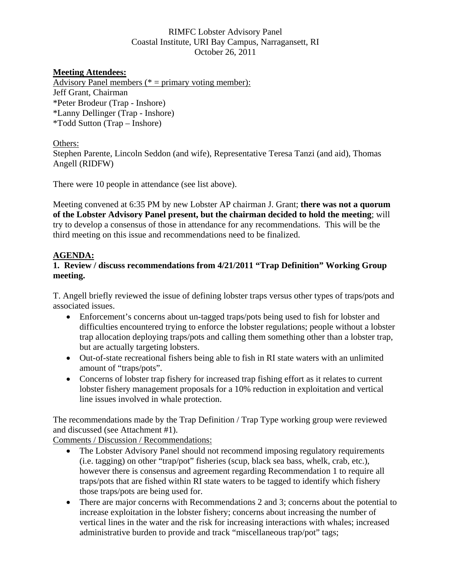## RIMFC Lobster Advisory Panel Coastal Institute, URI Bay Campus, Narragansett, RI October 26, 2011

### **Meeting Attendees:**

Advisory Panel members ( $* =$  primary voting member): Jeff Grant, Chairman \*Peter Brodeur (Trap - Inshore) \*Lanny Dellinger (Trap - Inshore) \*Todd Sutton (Trap – Inshore)

#### Others:

Stephen Parente, Lincoln Seddon (and wife), Representative Teresa Tanzi (and aid), Thomas Angell (RIDFW)

There were 10 people in attendance (see list above).

Meeting convened at 6:35 PM by new Lobster AP chairman J. Grant; **there was not a quorum of the Lobster Advisory Panel present, but the chairman decided to hold the meeting**; will try to develop a consensus of those in attendance for any recommendations. This will be the third meeting on this issue and recommendations need to be finalized.

### **AGENDA:**

## **1. Review / discuss recommendations from 4/21/2011 "Trap Definition" Working Group meeting.**

T. Angell briefly reviewed the issue of defining lobster traps versus other types of traps/pots and associated issues.

- Enforcement's concerns about un-tagged traps/pots being used to fish for lobster and difficulties encountered trying to enforce the lobster regulations; people without a lobster trap allocation deploying traps/pots and calling them something other than a lobster trap, but are actually targeting lobsters.
- Out-of-state recreational fishers being able to fish in RI state waters with an unlimited amount of "traps/pots".
- Concerns of lobster trap fishery for increased trap fishing effort as it relates to current lobster fishery management proposals for a 10% reduction in exploitation and vertical line issues involved in whale protection.

The recommendations made by the Trap Definition / Trap Type working group were reviewed and discussed (see Attachment #1).

Comments / Discussion / Recommendations:

- The Lobster Advisory Panel should not recommend imposing regulatory requirements (i.e. tagging) on other "trap/pot" fisheries (scup, black sea bass, whelk, crab, etc.), however there is consensus and agreement regarding Recommendation 1 to require all traps/pots that are fished within RI state waters to be tagged to identify which fishery those traps/pots are being used for.
- There are major concerns with Recommendations 2 and 3; concerns about the potential to increase exploitation in the lobster fishery; concerns about increasing the number of vertical lines in the water and the risk for increasing interactions with whales; increased administrative burden to provide and track "miscellaneous trap/pot" tags;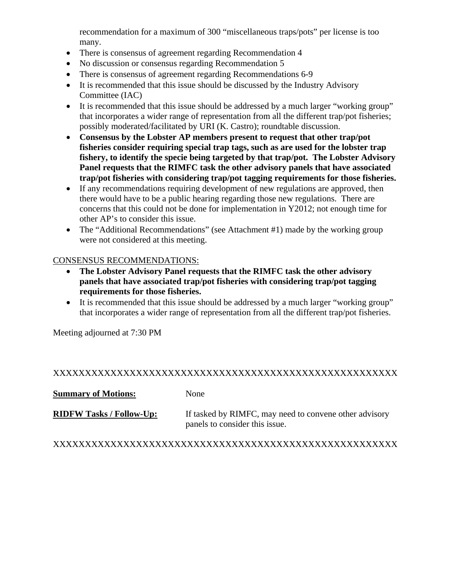recommendation for a maximum of 300 "miscellaneous traps/pots" per license is too many.

- There is consensus of agreement regarding Recommendation 4
- No discussion or consensus regarding Recommendation 5
- There is consensus of agreement regarding Recommendations 6-9
- It is recommended that this issue should be discussed by the Industry Advisory Committee (IAC)
- It is recommended that this issue should be addressed by a much larger "working group" that incorporates a wider range of representation from all the different trap/pot fisheries; possibly moderated/facilitated by URI (K. Castro); roundtable discussion.
- **Consensus by the Lobster AP members present to request that other trap/pot fisheries consider requiring special trap tags, such as are used for the lobster trap fishery, to identify the specie being targeted by that trap/pot. The Lobster Advisory Panel requests that the RIMFC task the other advisory panels that have associated trap/pot fisheries with considering trap/pot tagging requirements for those fisheries.**
- If any recommendations requiring development of new regulations are approved, then there would have to be a public hearing regarding those new regulations. There are concerns that this could not be done for implementation in Y2012; not enough time for other AP's to consider this issue.
- The "Additional Recommendations" (see Attachment #1) made by the working group were not considered at this meeting.

### CONSENSUS RECOMMENDATIONS:

- **The Lobster Advisory Panel requests that the RIMFC task the other advisory panels that have associated trap/pot fisheries with considering trap/pot tagging requirements for those fisheries.**
- It is recommended that this issue should be addressed by a much larger "working group" that incorporates a wider range of representation from all the different trap/pot fisheries.

Meeting adjourned at 7:30 PM

## XXXXXXXXXXXXXXXXXXXXXXXXXXXXXXXXXXXXXXXXXXXXXXXXXXXXXX

**Summary of Motions:** None

**RIDFW Tasks / Follow-Up:** If tasked by RIMFC, may need to convene other advisory panels to consider this issue.

## XXXXXXXXXXXXXXXXXXXXXXXXXXXXXXXXXXXXXXXXXXXXXXXXXXXXXX